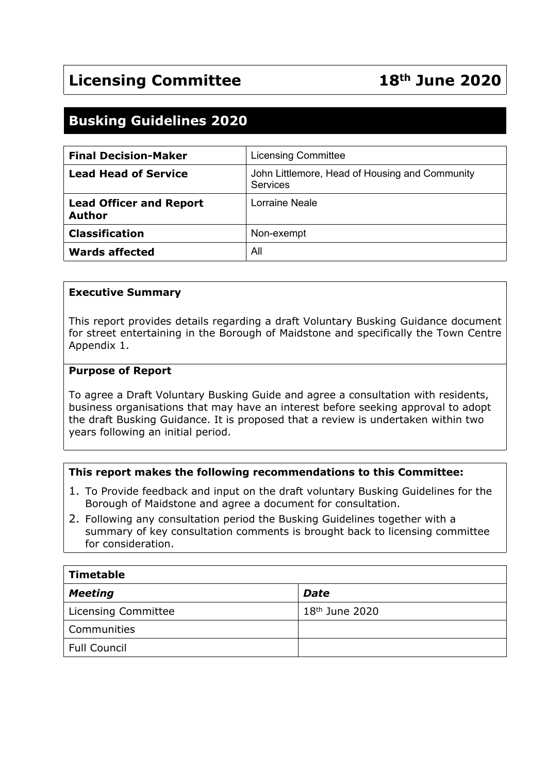## **Busking Guidelines 2020**

| <b>Final Decision-Maker</b>                     | <b>Licensing Committee</b>                                 |
|-------------------------------------------------|------------------------------------------------------------|
| <b>Lead Head of Service</b>                     | John Littlemore, Head of Housing and Community<br>Services |
| <b>Lead Officer and Report</b><br><b>Author</b> | Lorraine Neale                                             |
| <b>Classification</b>                           | Non-exempt                                                 |
| <b>Wards affected</b>                           | All                                                        |

#### **Executive Summary**

This report provides details regarding a draft Voluntary Busking Guidance document for street entertaining in the Borough of Maidstone and specifically the Town Centre Appendix 1.

#### **Purpose of Report**

To agree a Draft Voluntary Busking Guide and agree a consultation with residents, business organisations that may have an interest before seeking approval to adopt the draft Busking Guidance. It is proposed that a review is undertaken within two years following an initial period.

#### **This report makes the following recommendations to this Committee:**

- 1. To Provide feedback and input on the draft voluntary Busking Guidelines for the Borough of Maidstone and agree a document for consultation.
- 2. Following any consultation period the Busking Guidelines together with a summary of key consultation comments is brought back to licensing committee for consideration.

| Timetable                  |                  |  |  |
|----------------------------|------------------|--|--|
| <b>Meeting</b>             | <b>Date</b>      |  |  |
| <b>Licensing Committee</b> | $18th$ June 2020 |  |  |
| Communities                |                  |  |  |
| <b>Full Council</b>        |                  |  |  |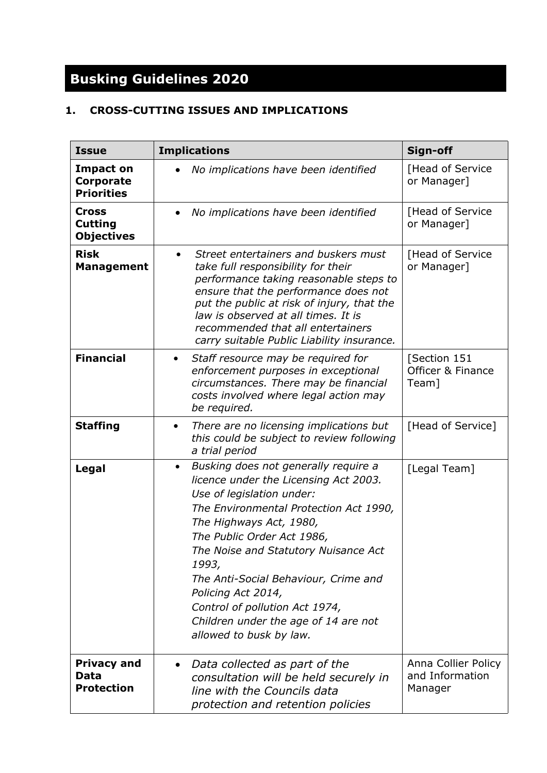# **Busking Guidelines 2020**

### **1. CROSS-CUTTING ISSUES AND IMPLICATIONS**

| <b>Issue</b>                                        | <b>Implications</b>                                                                                                                                                                                                                                                                                                                                                                                                                            | Sign-off                                          |
|-----------------------------------------------------|------------------------------------------------------------------------------------------------------------------------------------------------------------------------------------------------------------------------------------------------------------------------------------------------------------------------------------------------------------------------------------------------------------------------------------------------|---------------------------------------------------|
| <b>Impact on</b><br>Corporate<br><b>Priorities</b>  | No implications have been identified                                                                                                                                                                                                                                                                                                                                                                                                           | [Head of Service<br>or Manager]                   |
| <b>Cross</b><br><b>Cutting</b><br><b>Objectives</b> | No implications have been identified                                                                                                                                                                                                                                                                                                                                                                                                           | [Head of Service<br>or Manager]                   |
| <b>Risk</b><br><b>Management</b>                    | Street entertainers and buskers must<br>$\bullet$<br>take full responsibility for their<br>performance taking reasonable steps to<br>ensure that the performance does not<br>put the public at risk of injury, that the<br>law is observed at all times. It is<br>recommended that all entertainers<br>carry suitable Public Liability insurance.                                                                                              | [Head of Service<br>or Manager]                   |
| <b>Financial</b>                                    | Staff resource may be required for<br>$\bullet$<br>enforcement purposes in exceptional<br>circumstances. There may be financial<br>costs involved where legal action may<br>be required.                                                                                                                                                                                                                                                       | [Section 151<br>Officer & Finance<br>Team]        |
| <b>Staffing</b>                                     | There are no licensing implications but<br>٠<br>this could be subject to review following<br>a trial period                                                                                                                                                                                                                                                                                                                                    | [Head of Service]                                 |
| Legal                                               | Busking does not generally require a<br>$\bullet$<br>licence under the Licensing Act 2003.<br>Use of legislation under:<br>The Environmental Protection Act 1990,<br>The Highways Act, 1980,<br>The Public Order Act 1986,<br>The Noise and Statutory Nuisance Act<br>1993,<br>The Anti-Social Behaviour, Crime and<br>Policing Act 2014,<br>Control of pollution Act 1974,<br>Children under the age of 14 are not<br>allowed to busk by law. | [Legal Team]                                      |
| <b>Privacy and</b><br>Data<br><b>Protection</b>     | Data collected as part of the<br>$\bullet$<br>consultation will be held securely in<br>line with the Councils data<br>protection and retention policies                                                                                                                                                                                                                                                                                        | Anna Collier Policy<br>and Information<br>Manager |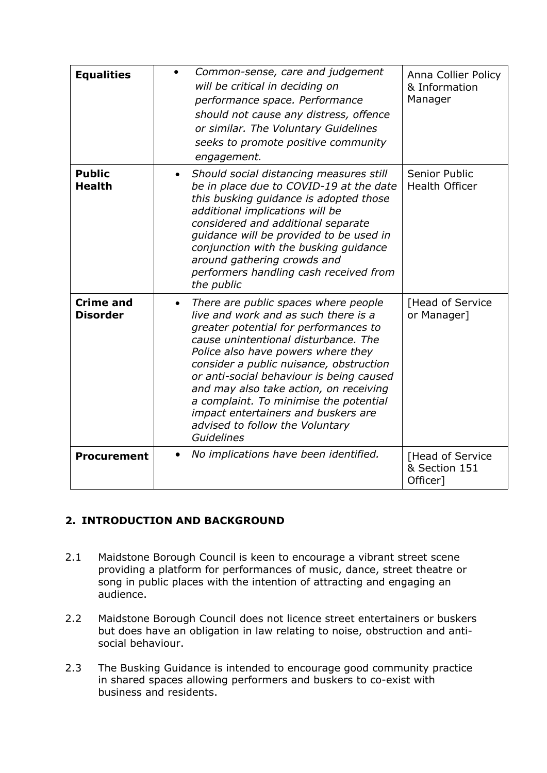| <b>Equalities</b>                   | Common-sense, care and judgement<br>will be critical in deciding on<br>performance space. Performance<br>should not cause any distress, offence<br>or similar. The Voluntary Guidelines<br>seeks to promote positive community<br>engagement.                                                                                                                                                                                                                          | Anna Collier Policy<br>& Information<br>Manager |
|-------------------------------------|------------------------------------------------------------------------------------------------------------------------------------------------------------------------------------------------------------------------------------------------------------------------------------------------------------------------------------------------------------------------------------------------------------------------------------------------------------------------|-------------------------------------------------|
| <b>Public</b><br><b>Health</b>      | Should social distancing measures still<br>be in place due to COVID-19 at the date<br>this busking guidance is adopted those<br>additional implications will be<br>considered and additional separate<br>quidance will be provided to be used in<br>conjunction with the busking guidance<br>around gathering crowds and<br>performers handling cash received from<br>the public                                                                                       | Senior Public<br><b>Health Officer</b>          |
| <b>Crime and</b><br><b>Disorder</b> | There are public spaces where people<br>live and work and as such there is a<br>greater potential for performances to<br>cause unintentional disturbance. The<br>Police also have powers where they<br>consider a public nuisance, obstruction<br>or anti-social behaviour is being caused<br>and may also take action, on receiving<br>a complaint. To minimise the potential<br>impact entertainers and buskers are<br>advised to follow the Voluntary<br>Guidelines | [Head of Service<br>or Manager]                 |
| <b>Procurement</b>                  | No implications have been identified.<br>$\bullet$                                                                                                                                                                                                                                                                                                                                                                                                                     | [Head of Service<br>& Section 151<br>Officer]   |

#### **2. INTRODUCTION AND BACKGROUND**

- 2.1 Maidstone Borough Council is keen to encourage a vibrant street scene providing a platform for performances of music, dance, street theatre or song in public places with the intention of attracting and engaging an audience.
- 2.2 Maidstone Borough Council does not licence street entertainers or buskers but does have an obligation in law relating to noise, obstruction and antisocial behaviour.
- 2.3 The Busking Guidance is intended to encourage good community practice in shared spaces allowing performers and buskers to co-exist with business and residents.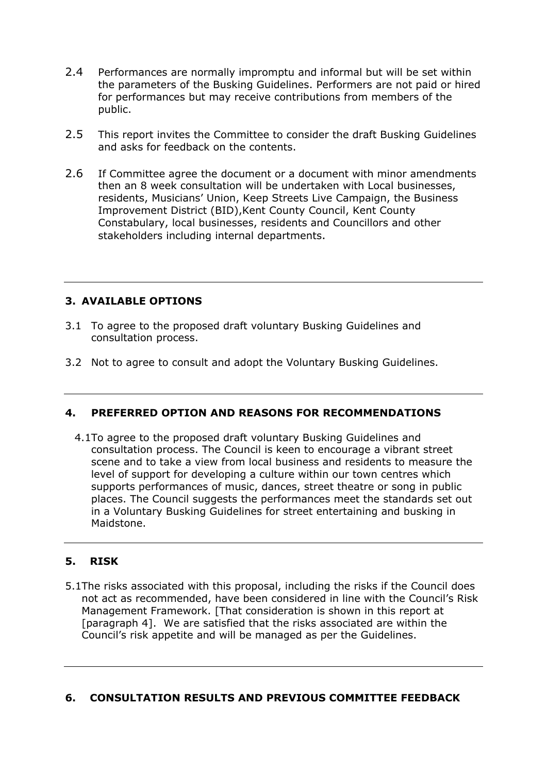- 2.4 Performances are normally impromptu and informal but will be set within the parameters of the Busking Guidelines. Performers are not paid or hired for performances but may receive contributions from members of the public.
- 2.5 This report invites the Committee to consider the draft Busking Guidelines and asks for feedback on the contents.
- 2.6 If Committee agree the document or a document with minor amendments then an 8 week consultation will be undertaken with Local businesses, residents, Musicians' Union, Keep Streets Live Campaign, the Business Improvement District (BID),Kent County Council, Kent County Constabulary, local businesses, residents and Councillors and other stakeholders including internal departments.

#### **3. AVAILABLE OPTIONS**

- 3.1 To agree to the proposed draft voluntary Busking Guidelines and consultation process.
- 3.2 Not to agree to consult and adopt the Voluntary Busking Guidelines.

#### **4. PREFERRED OPTION AND REASONS FOR RECOMMENDATIONS**

4.1To agree to the proposed draft voluntary Busking Guidelines and consultation process. The Council is keen to encourage a vibrant street scene and to take a view from local business and residents to measure the level of support for developing a culture within our town centres which supports performances of music, dances, street theatre or song in public places. The Council suggests the performances meet the standards set out in a Voluntary Busking Guidelines for street entertaining and busking in Maidstone.

#### **5. RISK**

5.1The risks associated with this proposal, including the risks if the Council does not act as recommended, have been considered in line with the Council's Risk Management Framework. [That consideration is shown in this report at [paragraph 4]. We are satisfied that the risks associated are within the Council's risk appetite and will be managed as per the Guidelines.

#### **6. CONSULTATION RESULTS AND PREVIOUS COMMITTEE FEEDBACK**